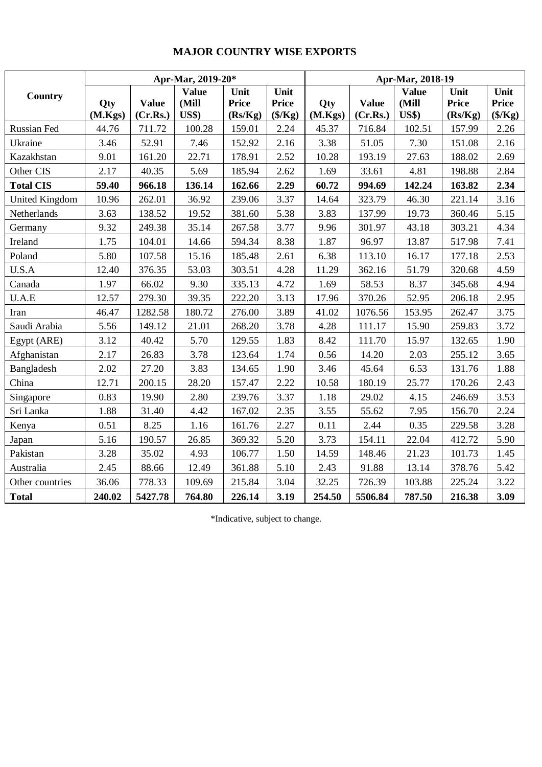## **MAJOR COUNTRY WISE EXPORTS**

|                       | Apr-Mar, 2019-20* |                          |                                       |                                 |                                          | Apr-Mar, 2018-19 |                          |                                       |                                 |                                          |  |
|-----------------------|-------------------|--------------------------|---------------------------------------|---------------------------------|------------------------------------------|------------------|--------------------------|---------------------------------------|---------------------------------|------------------------------------------|--|
| Country               | Qty<br>(M.Kgs)    | <b>Value</b><br>(Cr.Rs.) | <b>Value</b><br>(Mill<br><b>US\$)</b> | Unit<br><b>Price</b><br>(Rs/Kg) | Unit<br><b>Price</b><br>$(\frac{5}{Kg})$ | Qty<br>(M.Kgs)   | <b>Value</b><br>(Cr.Rs.) | <b>Value</b><br>(Mill<br><b>US\$)</b> | Unit<br><b>Price</b><br>(Rs/Kg) | Unit<br><b>Price</b><br>$(\frac{5}{Kg})$ |  |
| Russian Fed           | 44.76             | 711.72                   | 100.28                                | 159.01                          | 2.24                                     | 45.37            | 716.84                   | 102.51                                | 157.99                          | 2.26                                     |  |
| Ukraine               | 3.46              | 52.91                    | 7.46                                  | 152.92                          | 2.16                                     | 3.38             | 51.05                    | 7.30                                  | 151.08                          | 2.16                                     |  |
| Kazakhstan            | 9.01              | 161.20                   | 22.71                                 | 178.91                          | 2.52                                     | 10.28            | 193.19                   | 27.63                                 | 188.02                          | 2.69                                     |  |
| Other CIS             | 2.17              | 40.35                    | 5.69                                  | 185.94                          | 2.62                                     | 1.69             | 33.61                    | 4.81                                  | 198.88                          | 2.84                                     |  |
| <b>Total CIS</b>      | 59.40             | 966.18                   | 136.14                                | 162.66                          | 2.29                                     | 60.72            | 994.69                   | 142.24                                | 163.82                          | 2.34                                     |  |
| <b>United Kingdom</b> | 10.96             | 262.01                   | 36.92                                 | 239.06                          | 3.37                                     | 14.64            | 323.79                   | 46.30                                 | 221.14                          | 3.16                                     |  |
| Netherlands           | 3.63              | 138.52                   | 19.52                                 | 381.60                          | 5.38                                     | 3.83             | 137.99                   | 19.73                                 | 360.46                          | 5.15                                     |  |
| Germany               | 9.32              | 249.38                   | 35.14                                 | 267.58                          | 3.77                                     | 9.96             | 301.97                   | 43.18                                 | 303.21                          | 4.34                                     |  |
| Ireland               | 1.75              | 104.01                   | 14.66                                 | 594.34                          | 8.38                                     | 1.87             | 96.97                    | 13.87                                 | 517.98                          | 7.41                                     |  |
| Poland                | 5.80              | 107.58                   | 15.16                                 | 185.48                          | 2.61                                     | 6.38             | 113.10                   | 16.17                                 | 177.18                          | 2.53                                     |  |
| U.S.A                 | 12.40             | 376.35                   | 53.03                                 | 303.51                          | 4.28                                     | 11.29            | 362.16                   | 51.79                                 | 320.68                          | 4.59                                     |  |
| Canada                | 1.97              | 66.02                    | 9.30                                  | 335.13                          | 4.72                                     | 1.69             | 58.53                    | 8.37                                  | 345.68                          | 4.94                                     |  |
| U.A.E                 | 12.57             | 279.30                   | 39.35                                 | 222.20                          | 3.13                                     | 17.96            | 370.26                   | 52.95                                 | 206.18                          | 2.95                                     |  |
| Iran                  | 46.47             | 1282.58                  | 180.72                                | 276.00                          | 3.89                                     | 41.02            | 1076.56                  | 153.95                                | 262.47                          | 3.75                                     |  |
| Saudi Arabia          | 5.56              | 149.12                   | 21.01                                 | 268.20                          | 3.78                                     | 4.28             | 111.17                   | 15.90                                 | 259.83                          | 3.72                                     |  |
| Egypt (ARE)           | 3.12              | 40.42                    | 5.70                                  | 129.55                          | 1.83                                     | 8.42             | 111.70                   | 15.97                                 | 132.65                          | 1.90                                     |  |
| Afghanistan           | 2.17              | 26.83                    | 3.78                                  | 123.64                          | 1.74                                     | 0.56             | 14.20                    | 2.03                                  | 255.12                          | 3.65                                     |  |
| Bangladesh            | 2.02              | 27.20                    | 3.83                                  | 134.65                          | 1.90                                     | 3.46             | 45.64                    | 6.53                                  | 131.76                          | 1.88                                     |  |
| China                 | 12.71             | 200.15                   | 28.20                                 | 157.47                          | 2.22                                     | 10.58            | 180.19                   | 25.77                                 | 170.26                          | 2.43                                     |  |
| Singapore             | 0.83              | 19.90                    | 2.80                                  | 239.76                          | 3.37                                     | 1.18             | 29.02                    | 4.15                                  | 246.69                          | 3.53                                     |  |
| Sri Lanka             | 1.88              | 31.40                    | 4.42                                  | 167.02                          | 2.35                                     | 3.55             | 55.62                    | 7.95                                  | 156.70                          | 2.24                                     |  |
| Kenya                 | 0.51              | 8.25                     | 1.16                                  | 161.76                          | 2.27                                     | 0.11             | 2.44                     | 0.35                                  | 229.58                          | 3.28                                     |  |
| Japan                 | 5.16              | 190.57                   | 26.85                                 | 369.32                          | 5.20                                     | 3.73             | 154.11                   | 22.04                                 | 412.72                          | 5.90                                     |  |
| Pakistan              | 3.28              | 35.02                    | 4.93                                  | 106.77                          | 1.50                                     | 14.59            | 148.46                   | 21.23                                 | 101.73                          | 1.45                                     |  |
| Australia             | 2.45              | 88.66                    | 12.49                                 | 361.88                          | 5.10                                     | 2.43             | 91.88                    | 13.14                                 | 378.76                          | 5.42                                     |  |
| Other countries       | 36.06             | 778.33                   | 109.69                                | 215.84                          | 3.04                                     | 32.25            | 726.39                   | 103.88                                | 225.24                          | 3.22                                     |  |
| <b>Total</b>          | 240.02            | 5427.78                  | 764.80                                | 226.14                          | 3.19                                     | 254.50           | 5506.84                  | 787.50                                | 216.38                          | 3.09                                     |  |

\*Indicative, subject to change.